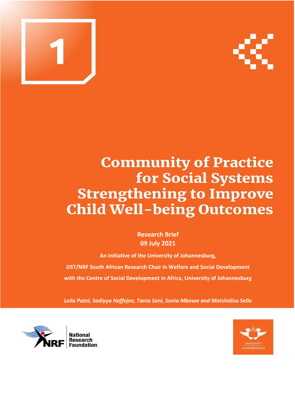



# **Community of Practice** for Social Systems **Strengthening to Improve Child Well-being Outcomes**

**Research Brief 09 July 2021**

**An initiative of the University of Johannesburg,**

**DST/NRF South African Research Chair in Welfare and Social Development with the Centre of Social Development in Africa, University of Johannesburg**

*Leila Patel, Sadiyya Haffejee, Tania Sani, Sonia Mbowa and Matshidiso Sello*



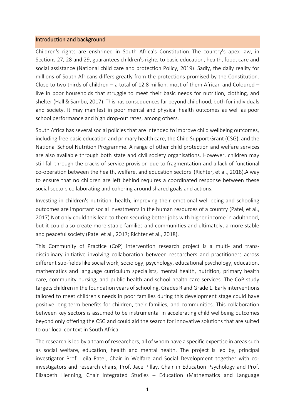#### Introduction and background

Children's rights are enshrined in South Africa's Constitution. The country's apex law, in Sections 27, 28 and 29, guarantees children's rights to basic education, health, food, care and social assistance (National child care and protection Policy, 2019). Sadly, the daily reality for millions of South Africans differs greatly from the protections promised by the Constitution. Close to two thirds of children – a total of 12.8 million, most of them African and Coloured – live in poor households that struggle to meet their basic needs for nutrition, clothing, and shelter (Hall & Sambu, 2017). This has consequences far beyond childhood, both for individuals and society. It may manifest in poor mental and physical health outcomes as well as poor school performance and high drop-out rates, among others.

South Africa has several social policies that are intended to improve child wellbeing outcomes, including free basic education and primary health care, the Child Support Grant (CSG), and the National School Nutrition Programme. A range of other child protection and welfare services are also available through both state and civil society organisations. However, children may still fall through the cracks of service provision due to fragmentation and a lack of functional co-operation between the health, welfare, and education sectors (Richter, et al., 2018).A way to ensure that no children are left behind requires a coordinated response between these social sectors collaborating and cohering around shared goals and actions.

Investing in children's nutrition, health, improving their emotional well-being and schooling outcomes are important social investments in the human resources of a country (Patel, et al., 2017).Not only could this lead to them securing better jobs with higher income in adulthood, but it could also create more stable families and communities and ultimately, a more stable and peaceful society (Patel et al., 2017; Richter et al., 2018).

This Community of Practice (CoP) intervention research project is a multi- and transdisciplinary initiative involving collaboration between researchers and practitioners across different sub-fields like social work, sociology, psychology, educational psychology, education, mathematics and language curriculum specialists, mental health, nutrition, primary health care, community nursing, and public health and school health care services. The CoP study targets children in the foundation years of schooling, Grades R and Grade 1. Early interventions tailored to meet children's needs in poor families during this development stage could have positive long-term benefits for children, their families, and communities. This collaboration between key sectors is assumed to be instrumental in accelerating child wellbeing outcomes beyond only offering the CSG and could aid the search for innovative solutions that are suited to our local context in South Africa.

The research is led by a team of researchers, all of whom have a specific expertise in areas such as social welfare, education, health and mental health. The project is led by, principal investigator Prof. Leila Patel, Chair in Welfare and Social Development together with coinvestigators and research chairs, Prof. Jace Pillay, Chair in Education Psychology and Prof. Elizabeth Henning, Chair Integrated Studies – Education (Mathematics and Language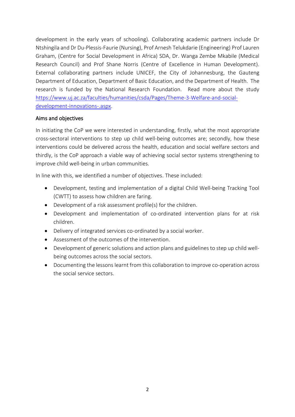development in the early years of schooling). Collaborating academic partners include Dr Ntshingila and Dr Du-Plessis-Faurie (Nursing), Prof Arnesh Telukdarie (Engineering) Prof Lauren Graham, (Centre for Social Development in Africa) SDA, Dr. Wanga Zembe Mkabile (Medical Research Council) and Prof Shane Norris (Centre of Excellence in Human Development). External collaborating partners include UNICEF, the City of Johannesburg, the Gauteng Department of Education, Department of Basic Education, and the Department of Health. The research is funded by the National Research Foundation. Read more about the study [https://www.uj.ac.za/faculties/humanities/csda/Pages/Theme-3-Welfare-and-social](https://www.uj.ac.za/faculties/humanities/csda/Pages/Theme-3-Welfare-and-social-development-innovations-.aspx)[development-innovations-.aspx.](https://www.uj.ac.za/faculties/humanities/csda/Pages/Theme-3-Welfare-and-social-development-innovations-.aspx)

# Aims and objectives

In initiating the CoP we were interested in understanding, firstly, what the most appropriate cross-sectoral interventions to step up child well-being outcomes are; secondly, how these interventions could be delivered across the health, education and social welfare sectors and thirdly, is the CoP approach a viable way of achieving social sector systems strengthening to improve child well-being in urban communities.

In line with this, we identified a number of objectives. These included:

- Development, testing and implementation of a digital Child Well-being Tracking Tool (CWTT) to assess how children are faring.
- Development of a risk assessment profile(s) for the children.
- Development and implementation of co-ordinated intervention plans for at risk children.
- Delivery of integrated services co-ordinated by a social worker.
- Assessment of the outcomes of the intervention.
- Development of generic solutions and action plans and guidelines to step up child wellbeing outcomes across the social sectors.
- Documenting the lessons learnt from this collaboration to improve co-operation across the social service sectors.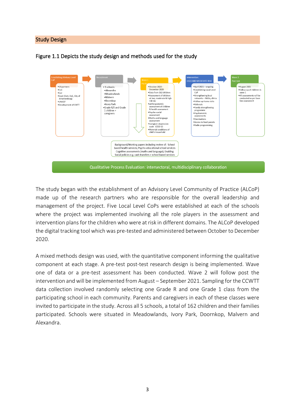## Study Design





The study began with the establishment of an Advisory Level Community of Practice (ALCoP) made up of the research partners who are responsible for the overall leadership and management of the project. Five Local Level CoPs were established at each of the schools where the project was implemented involving all the role players in the assessment and intervention plans for the children who were at risk in different domains. The ALCoP developed the digital tracking tool which was pre-tested and administered between October to December 2020.

A mixed methods design was used, with the quantitative component informing the qualitative component at each stage. A pre-test post-test research design is being implemented. Wave one of data or a pre-test assessment has been conducted. Wave 2 will follow post the intervention and will be implemented from August – September 2021. Sampling for the CCWTT data collection involved randomly selecting one Grade R and one Grade 1 class from the participating school in each community. Parents and caregivers in each of these classes were invited to participate in the study. Across all 5 schools, a total of 162 children and their families participated. Schools were situated in Meadowlands, Ivory Park, Doornkop, Malvern and Alexandra.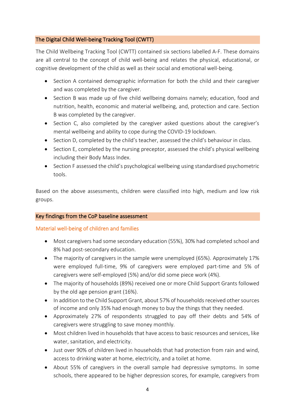# The Digital Child Well-being Tracking Tool (CWTT)

The Child Wellbeing Tracking Tool (CWTT) contained six sections labelled A-F. These domains are all central to the concept of child well-being and relates the physical, educational, or cognitive development of the child as well as their social and emotional well-being.

- Section A contained demographic information for both the child and their caregiver and was completed by the caregiver.
- Section B was made up of five child wellbeing domains namely; education, food and nutrition, health, economic and material wellbeing, and, protection and care. Section B was completed by the caregiver.
- Section C, also completed by the caregiver asked questions about the caregiver's mental wellbeing and ability to cope during the COVID-19 lockdown.
- Section D, completed by the child's teacher, assessed the child's behaviour in class.
- Section E, completed by the nursing preceptor, assessed the child's physical wellbeing including their Body Mass Index.
- Section F assessed the child's psychological wellbeing using standardised psychometric tools.

Based on the above assessments, children were classified into high, medium and low risk groups.

# Key findings from the CoP baseline assessment

# Material well-being of children and families

- Most caregivers had some secondary education (55%), 30% had completed school and 8% had post-secondary education.
- The majority of caregivers in the sample were unemployed (65%). Approximately 17% were employed full-time, 9% of caregivers were employed part-time and 5% of caregivers were self-employed (5%) and/or did some piece work (4%).
- The majority of households (89%) received one or more Child Support Grants followed by the old age pension grant (16%).
- In addition to the Child Support Grant, about 57% of households received other sources of income and only 35% had enough money to buy the things that they needed.
- Approximately 27% of respondents struggled to pay off their debts and 54% of caregivers were struggling to save money monthly.
- Most children lived in households that have access to basic resources and services, like water, sanitation, and electricity.
- Just over 90% of children lived in households that had protection from rain and wind, access to drinking water at home, electricity, and a toilet at home.
- About 55% of caregivers in the overall sample had depressive symptoms. In some schools, there appeared to be higher depression scores, for example, caregivers from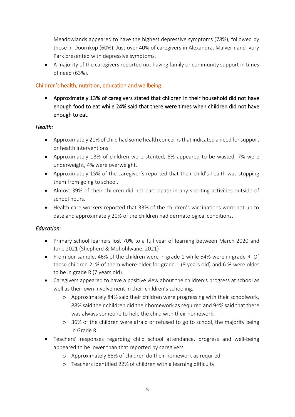Meadowlands appeared to have the highest depressive symptoms (78%), followed by those in Doornkop (60%). Just over 40% of caregivers in Alexandra, Malvern and Ivory Park presented with depressive symptoms.

• A majority of the caregivers reported not having family or community support in times of need (63%).

# Children's health, nutrition, education and wellbeing

• Approximately 13% of caregivers stated that children in their household did not have enough food to eat while 24% said that there were times when children did not have enough to eat.

# *Health:*

- Approximately 21% of child had some health concerns that indicated a need for support or health interventions.
- Approximately 13% of children were stunted, 6% appeared to be wasted, 7% were underweight, 4% were overweight.
- Approximately 15% of the caregiver's reported that their child's health was stopping them from going to school.
- Almost 39% of their children did not participate in any sporting activities outside of school hours.
- Health care workers reported that 33% of the children's vaccinations were not up to date and approximately 20% of the children had dermatological conditions.

# *Education*:

- Primary school learners lost 70% to a full year of learning between March 2020 and June 2021 (Shepherd & Mohohlwane, 2021)
- From our sample, 46% of the children were in grade 1 while 54% were in grade R. Of these children 21% of them where older for grade 1 (8 years old) and 6 % were older to be in grade R (7 years old).
- Caregivers appeared to have a positive view about the children's progress at school as well as their own involvement in their children's schooling.
	- o Approximately 84% said their children were progressing with their schoolwork, 88% said their children did their homework as required and 94% said that there was always someone to help the child with their homework.
	- o 36% of the children were afraid or refused to go to school, the majority being in Grade R.
- Teachers' responses regarding child school attendance, progress and well-being appeared to be lower than that reported by caregivers.
	- o Approximately 68% of children do their homework as required
	- o Teachers identified 22% of children with a learning difficulty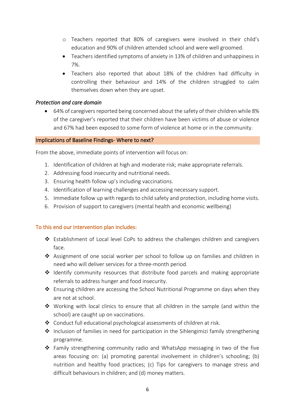- o Teachers reported that 80% of caregivers were involved in their child's education and 90% of children attended school and were well groomed.
- Teachers identified symptoms of anxiety in 13% of children and unhappiness in 7%.
- Teachers also reported that about 18% of the children had difficulty in controlling their behaviour and 14% of the children struggled to calm themselves down when they are upset.

# *Protection and care domain*

• 64% of caregivers reported being concerned about the safety of their children while 8% of the caregiver's reported that their children have been victims of abuse or violence and 67% had been exposed to some form of violence at home or in the community.

#### Implications of Baseline Findings- Where to next?

From the above, immediate points of intervention will focus on:

- 1. Identification of children at high and moderate risk; make appropriate referrals.
- 2. Addressing food insecurity and nutritional needs.
- 3. Ensuring health follow up's including vaccinations.
- 4. Identification of learning challenges and accessing necessary support.
- 5. Immediate follow up with regards to child safety and protection, including home visits.
- 6. Provision of support to caregivers (mental health and economic wellbeing)

# To this end our intervention plan includes:

- ❖ Establishment of Local level CoPs to address the challenges children and caregivers face.
- ❖ Assignment of one social worker per school to follow up on families and children in need who will deliver services for a three-month period.
- ❖ Identify community resources that distribute food parcels and making appropriate referrals to address hunger and food insecurity.
- ❖ Ensuring children are accessing the School Nutritional Programme on days when they are not at school.
- ❖ Working with local clinics to ensure that all children in the sample (and within the school) are caught up on vaccinations.
- ❖ Conduct full educational psychological assessments of children at risk.
- **❖** Inclusion of families in need for participation in the Sihlengimizi family strengthening programme.
- ❖ Family strengthening community radio and WhatsApp messaging in two of the five areas focusing on: (a) promoting parental involvement in children's schooling; (b) nutrition and healthy food practices; (c) Tips for caregivers to manage stress and difficult behaviours in children; and (d) money matters.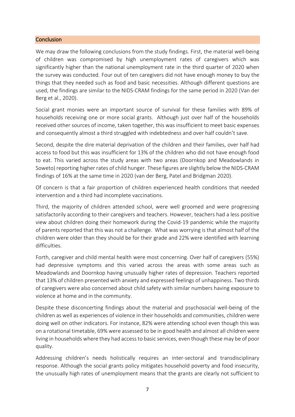## **Conclusion**

We may draw the following conclusions from the study findings. First, the material well-being of children was compromised by high unemployment rates of caregivers which was significantly higher than the national unemployment rate in the third quarter of 2020 when the survey was conducted. Four out of ten caregivers did not have enough money to buy the things that they needed such as food and basic necessities. Although different questions are used, the findings are similar to the NIDS-CRAM findings for the same period in 2020 (Van der Berg et al., 2020).

Social grant monies were an important source of survival for these families with 89% of households receiving one or more social grants. Although just over half of the households received other sources of income, taken together, this was insufficient to meet basic expenses and consequently almost a third struggled with indebtedness and over half couldn't save.

Second, despite the dire material deprivation of the children and their families, over half had access to food but this was insufficient for 13% of the children who did not have enough food to eat. This varied across the study areas with two areas (Doornkop and Meadowlands in Soweto) reporting higher rates of child hunger. These figures are slightly below the NIDS-CRAM findings of 16% at the same time in 2020 (van der Berg, Patel and Bridgman 2020).

Of concern is that a fair proportion of children experienced health conditions that needed intervention and a third had incomplete vaccinations.

Third, the majority of children attended school, were well groomed and were progressing satisfactorily according to their caregivers and teachers. However, teachers had a less positive view about children doing their homework during the Covid-19 pandemic while the majority of parents reported that this was not a challenge. What was worrying is that almost half of the children were older than they should be for their grade and 22% were identified with learning difficulties.

Forth, caregiver and child mental health were most concerning. Over half of caregivers (55%) had depressive symptoms and this varied across the areas with some areas such as Meadowlands and Doornkop having unusually higher rates of depression. Teachers reported that 13% of children presented with anxiety and expressed feelings of unhappiness. Two thirds of caregivers were also concerned about child safety with similar numbers having exposure to violence at home and in the community.

Despite these disconcerting findings about the material and psychosocial well-being of the children as well as experiences of violence in their households and communities, children were doing well on other indicators. For instance, 82% were attending school even though this was on a rotational timetable, 69% were assessed to be in good health and almost all children were living in households where they had access to basic services, even though these may be of poor quality.

Addressing children's needs holistically requires an inter-sectoral and transdisciplinary response. Although the social grants policy mitigates household poverty and food insecurity, the unusually high rates of unemployment means that the grants are clearly not sufficient to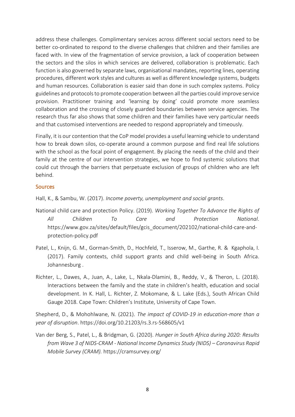address these challenges. Complimentary services across different social sectors need to be better co-ordinated to respond to the diverse challenges that children and their families are faced with. In view of the fragmentation of service provision, a lack of cooperation between the sectors and the silos in which services are delivered, collaboration is problematic. Each function is also governed by separate laws, organisational mandates, reporting lines, operating procedures, different work styles and cultures as well as different knowledge systems, budgets and human resources. Collaboration is easier said than done in such complex systems. Policy guidelines and protocols to promote cooperation between all the parties could improve service provision. Practitioner training and 'learning by doing' could promote more seamless collaboration and the crossing of closely guarded boundaries between service agencies. The research thus far also shows that some children and their families have very particular needs and that customised interventions are needed to respond appropriately and timeously.

Finally, it is our contention that the CoP model provides a useful learning vehicle to understand how to break down silos, co-operate around a common purpose and find real life solutions with the school as the focal point of engagement. By placing the needs of the child and their family at the centre of our intervention strategies, we hope to find systemic solutions that could cut through the barriers that perpetuate exclusion of groups of children who are left behind.

# Sources

Hall, K., & Sambu, W. (2017). *Income poverty, unemployment and social grants*.

- National child care and protection Policy. (2019). *Working Together To Advance the Rights of All Children To Care and Protection National*. https://www.gov.za/sites/default/files/gcis\_document/202102/national-child-care-andprotection-policy.pdf
- Patel, L., Knijn, G. M., Gorman-Smith, D., Hochfeld, T., Isserow, M., Garthe, R. & Kgaphola, I. (2017). Family contexts, child support grants and child well-being in South Africa. Johannesburg .
- Richter, L., Dawes, A., Juan, A., Lake, L., Nkala-Dlamini, B., Reddy, V., & Theron, L. (2018). Interactions between the family and the state in children's health, education and social development. In K. Hall, L. Richter, Z. Mokomane, & L. Lake (Eds.), South African Child Gauge 2018. Cape Town: Children's Institute, University of Cape Town.

Shepherd, D., & Mohohlwane, N. (2021). *The impact of COVID-19 in education-more than a year of disruption*. https://doi.org/10.21203/rs.3.rs-568605/v1

Van der Berg, S., Patel, L., & Bridgman, G. (2020). *Hunger in South Africa during 2020: Results from Wave 3 of NIDS-CRAM - National Income Dynamics Study (NIDS) – Coronavirus Rapid Mobile Survey (CRAM).* https://cramsurvey.org/